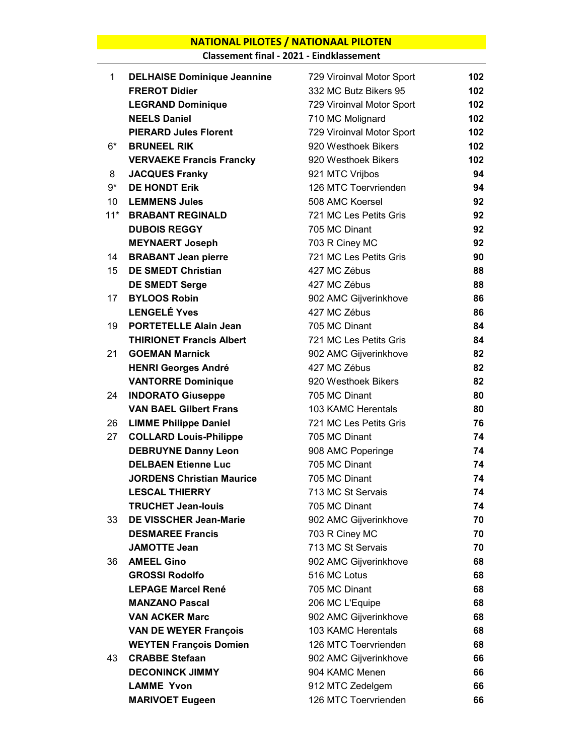## NATIONAL PILOTES / NATIONAAL PILOTEN

Classement final - 2021 - Eindklassement

| 1     | <b>DELHAISE Dominique Jeannine</b> | 729 Viroinval Motor Sport | 102 |
|-------|------------------------------------|---------------------------|-----|
|       | <b>FREROT Didier</b>               | 332 MC Butz Bikers 95     | 102 |
|       | <b>LEGRAND Dominique</b>           | 729 Viroinval Motor Sport | 102 |
|       | <b>NEELS Daniel</b>                | 710 MC Molignard          | 102 |
|       | <b>PIERARD Jules Florent</b>       | 729 Viroinval Motor Sport | 102 |
| $6*$  | <b>BRUNEEL RIK</b>                 | 920 Westhoek Bikers       | 102 |
|       | <b>VERVAEKE Francis Francky</b>    | 920 Westhoek Bikers       | 102 |
| 8     | <b>JACQUES Franky</b>              | 921 MTC Vrijbos           | 94  |
| $9*$  | <b>DE HONDT Erik</b>               | 126 MTC Toervrienden      | 94  |
| 10    | <b>LEMMENS Jules</b>               | 508 AMC Koersel           | 92  |
| $11*$ | <b>BRABANT REGINALD</b>            | 721 MC Les Petits Gris    | 92  |
|       | <b>DUBOIS REGGY</b>                | 705 MC Dinant             | 92  |
|       | <b>MEYNAERT Joseph</b>             | 703 R Ciney MC            | 92  |
| 14    | <b>BRABANT Jean pierre</b>         | 721 MC Les Petits Gris    | 90  |
| 15    | <b>DE SMEDT Christian</b>          | 427 MC Zébus              | 88  |
|       | <b>DE SMEDT Serge</b>              | 427 MC Zébus              | 88  |
| 17    | <b>BYLOOS Robin</b>                | 902 AMC Gijverinkhove     | 86  |
|       | <b>LENGELÉ Yves</b>                | 427 MC Zébus              | 86  |
| 19    | <b>PORTETELLE Alain Jean</b>       | 705 MC Dinant             | 84  |
|       | <b>THIRIONET Francis Albert</b>    | 721 MC Les Petits Gris    | 84  |
| 21    | <b>GOEMAN Marnick</b>              | 902 AMC Gijverinkhove     | 82  |
|       | <b>HENRI Georges André</b>         | 427 MC Zébus              | 82  |
|       | <b>VANTORRE Dominique</b>          | 920 Westhoek Bikers       | 82  |
| 24    | <b>INDORATO Giuseppe</b>           | 705 MC Dinant             | 80  |
|       | <b>VAN BAEL Gilbert Frans</b>      | 103 KAMC Herentals        | 80  |
| 26    | <b>LIMME Philippe Daniel</b>       | 721 MC Les Petits Gris    | 76  |
| 27    | <b>COLLARD Louis-Philippe</b>      | 705 MC Dinant             | 74  |
|       | <b>DEBRUYNE Danny Leon</b>         | 908 AMC Poperinge         | 74  |
|       | <b>DELBAEN Etienne Luc</b>         | 705 MC Dinant             | 74  |
|       | <b>JORDENS Christian Maurice</b>   | 705 MC Dinant             | 74  |
|       | <b>LESCAL THIERRY</b>              | 713 MC St Servais         | 74  |
|       | <b>TRUCHET Jean-louis</b>          | 705 MC Dinant             | 74  |
| 33    | <b>DE VISSCHER Jean-Marie</b>      | 902 AMC Gijverinkhove     | 70  |
|       | <b>DESMAREE Francis</b>            | 703 R Ciney MC            | 70  |
|       | <b>JAMOTTE Jean</b>                | 713 MC St Servais         | 70  |
| 36    | <b>AMEEL Gino</b>                  | 902 AMC Gijverinkhove     | 68  |
|       | <b>GROSSI Rodolfo</b>              | 516 MC Lotus              | 68  |
|       | <b>LEPAGE Marcel René</b>          | 705 MC Dinant             | 68  |
|       | <b>MANZANO Pascal</b>              | 206 MC L'Equipe           | 68  |
|       | <b>VAN ACKER Marc</b>              | 902 AMC Gijverinkhove     | 68  |
|       | <b>VAN DE WEYER François</b>       | 103 KAMC Herentals        | 68  |
|       | <b>WEYTEN François Domien</b>      | 126 MTC Toervrienden      | 68  |
| 43    | <b>CRABBE Stefaan</b>              | 902 AMC Gijverinkhove     | 66  |
|       | <b>DECONINCK JIMMY</b>             | 904 KAMC Menen            | 66  |
|       | <b>LAMME Yvon</b>                  | 912 MTC Zedelgem          | 66  |
|       | <b>MARIVOET Eugeen</b>             | 126 MTC Toervrienden      | 66  |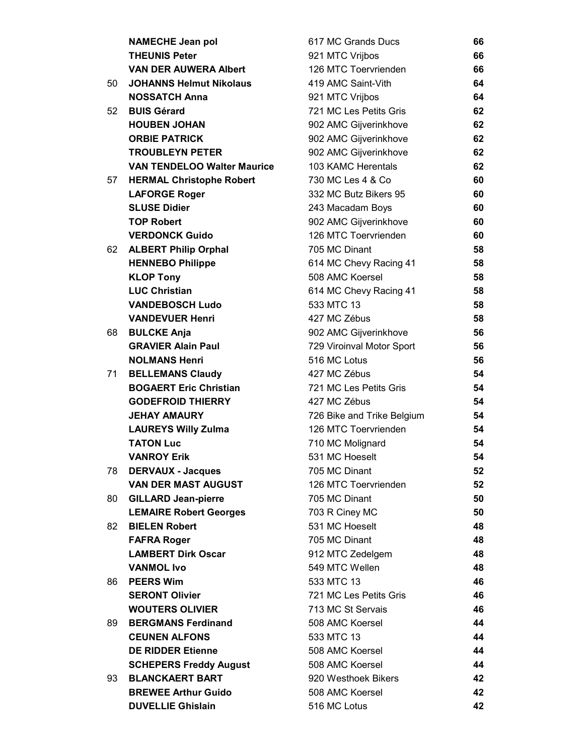|    | <b>NAMECHE Jean pol</b>            | 617 MC Grands Ducs         | 66 |
|----|------------------------------------|----------------------------|----|
|    | <b>THEUNIS Peter</b>               | 921 MTC Vrijbos            | 66 |
|    | <b>VAN DER AUWERA Albert</b>       | 126 MTC Toervrienden       | 66 |
| 50 | <b>JOHANNS Helmut Nikolaus</b>     | 419 AMC Saint-Vith         | 64 |
|    | <b>NOSSATCH Anna</b>               | 921 MTC Vrijbos            | 64 |
| 52 | <b>BUIS Gérard</b>                 | 721 MC Les Petits Gris     | 62 |
|    | <b>HOUBEN JOHAN</b>                | 902 AMC Gijverinkhove      | 62 |
|    | <b>ORBIE PATRICK</b>               | 902 AMC Gijverinkhove      | 62 |
|    | <b>TROUBLEYN PETER</b>             | 902 AMC Gijverinkhove      | 62 |
|    | <b>VAN TENDELOO Walter Maurice</b> | 103 KAMC Herentals         | 62 |
| 57 | <b>HERMAL Christophe Robert</b>    | 730 MC Les 4 & Co          | 60 |
|    | <b>LAFORGE Roger</b>               | 332 MC Butz Bikers 95      | 60 |
|    | <b>SLUSE Didier</b>                | 243 Macadam Boys           | 60 |
|    | <b>TOP Robert</b>                  | 902 AMC Gijverinkhove      | 60 |
|    | <b>VERDONCK Guido</b>              | 126 MTC Toervrienden       | 60 |
| 62 | <b>ALBERT Philip Orphal</b>        | 705 MC Dinant              | 58 |
|    | <b>HENNEBO Philippe</b>            | 614 MC Chevy Racing 41     | 58 |
|    | <b>KLOP Tony</b>                   | 508 AMC Koersel            | 58 |
|    | <b>LUC Christian</b>               | 614 MC Chevy Racing 41     | 58 |
|    | <b>VANDEBOSCH Ludo</b>             | 533 MTC 13                 | 58 |
|    | <b>VANDEVUER Henri</b>             | 427 MC Zébus               | 58 |
| 68 | <b>BULCKE Anja</b>                 | 902 AMC Gijverinkhove      | 56 |
|    | <b>GRAVIER Alain Paul</b>          | 729 Viroinval Motor Sport  | 56 |
|    | <b>NOLMANS Henri</b>               | 516 MC Lotus               | 56 |
| 71 | <b>BELLEMANS Claudy</b>            | 427 MC Zébus               | 54 |
|    | <b>BOGAERT Eric Christian</b>      | 721 MC Les Petits Gris     | 54 |
|    | <b>GODEFROID THIERRY</b>           | 427 MC Zébus               | 54 |
|    | <b>JEHAY AMAURY</b>                | 726 Bike and Trike Belgium | 54 |
|    | <b>LAUREYS Willy Zulma</b>         | 126 MTC Toervrienden       | 54 |
|    | <b>TATON Luc</b>                   | 710 MC Molignard           | 54 |
|    | <b>VANROY Erik</b>                 | 531 MC Hoeselt             | 54 |
| 78 | <b>DERVAUX - Jacques</b>           | 705 MC Dinant              | 52 |
|    | <b>VAN DER MAST AUGUST</b>         | 126 MTC Toervrienden       | 52 |
| 80 | <b>GILLARD Jean-pierre</b>         | 705 MC Dinant              | 50 |
|    | <b>LEMAIRE Robert Georges</b>      | 703 R Ciney MC             | 50 |
| 82 | <b>BIELEN Robert</b>               | 531 MC Hoeselt             | 48 |
|    | <b>FAFRA Roger</b>                 | 705 MC Dinant              | 48 |
|    | <b>LAMBERT Dirk Oscar</b>          | 912 MTC Zedelgem           | 48 |
|    | <b>VANMOL Ivo</b>                  | 549 MTC Wellen             | 48 |
| 86 | <b>PEERS Wim</b>                   | 533 MTC 13                 | 46 |
|    | <b>SERONT Olivier</b>              | 721 MC Les Petits Gris     | 46 |
|    | <b>WOUTERS OLIVIER</b>             | 713 MC St Servais          | 46 |
| 89 | <b>BERGMANS Ferdinand</b>          | 508 AMC Koersel            | 44 |
|    | <b>CEUNEN ALFONS</b>               | 533 MTC 13                 | 44 |
|    | <b>DE RIDDER Etienne</b>           | 508 AMC Koersel            | 44 |
|    | <b>SCHEPERS Freddy August</b>      | 508 AMC Koersel            | 44 |
| 93 | <b>BLANCKAERT BART</b>             | 920 Westhoek Bikers        | 42 |
|    | <b>BREWEE Arthur Guido</b>         | 508 AMC Koersel            | 42 |
|    | <b>DUVELLIE Ghislain</b>           | 516 MC Lotus               | 42 |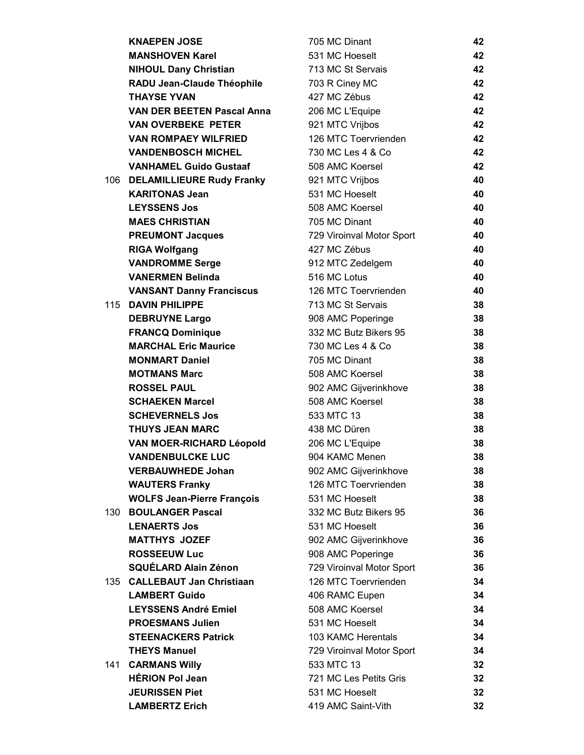|      | <b>KNAEPEN JOSE</b>               | 705 MC Dinant             | 42 |
|------|-----------------------------------|---------------------------|----|
|      | <b>MANSHOVEN Karel</b>            | 531 MC Hoeselt            | 42 |
|      | <b>NIHOUL Dany Christian</b>      | 713 MC St Servais         | 42 |
|      | RADU Jean-Claude Théophile        | 703 R Ciney MC            | 42 |
|      | <b>THAYSE YVAN</b>                | 427 MC Zébus              | 42 |
|      | <b>VAN DER BEETEN Pascal Anna</b> | 206 MC L'Equipe           | 42 |
|      | <b>VAN OVERBEKE PETER</b>         | 921 MTC Vrijbos           | 42 |
|      | <b>VAN ROMPAEY WILFRIED</b>       | 126 MTC Toervrienden      | 42 |
|      | <b>VANDENBOSCH MICHEL</b>         | 730 MC Les 4 & Co         | 42 |
|      | <b>VANHAMEL Guido Gustaaf</b>     | 508 AMC Koersel           | 42 |
|      | 106 DELAMILLIEURE Rudy Franky     | 921 MTC Vrijbos           | 40 |
|      | <b>KARITONAS Jean</b>             | 531 MC Hoeselt            | 40 |
|      | <b>LEYSSENS Jos</b>               | 508 AMC Koersel           | 40 |
|      | <b>MAES CHRISTIAN</b>             | 705 MC Dinant             | 40 |
|      | <b>PREUMONT Jacques</b>           | 729 Viroinval Motor Sport | 40 |
|      | <b>RIGA Wolfgang</b>              | 427 MC Zébus              | 40 |
|      | <b>VANDROMME Serge</b>            | 912 MTC Zedelgem          | 40 |
|      | <b>VANERMEN Belinda</b>           | 516 MC Lotus              | 40 |
|      | <b>VANSANT Danny Franciscus</b>   | 126 MTC Toervrienden      | 40 |
|      | 115 DAVIN PHILIPPE                | 713 MC St Servais         | 38 |
|      | <b>DEBRUYNE Largo</b>             | 908 AMC Poperinge         | 38 |
|      | <b>FRANCQ Dominique</b>           | 332 MC Butz Bikers 95     | 38 |
|      | <b>MARCHAL Eric Maurice</b>       | 730 MC Les 4 & Co         | 38 |
|      | <b>MONMART Daniel</b>             | 705 MC Dinant             | 38 |
|      | <b>MOTMANS Marc</b>               | 508 AMC Koersel           | 38 |
|      | <b>ROSSEL PAUL</b>                | 902 AMC Gijverinkhove     | 38 |
|      | <b>SCHAEKEN Marcel</b>            | 508 AMC Koersel           | 38 |
|      | <b>SCHEVERNELS Jos</b>            | 533 MTC 13                | 38 |
|      | <b>THUYS JEAN MARC</b>            | 438 MC Düren              | 38 |
|      | <b>VAN MOER-RICHARD Léopold</b>   | 206 MC L'Equipe           | 38 |
|      | <b>VANDENBULCKE LUC</b>           | 904 KAMC Menen            | 38 |
|      | <b>VERBAUWHEDE Johan</b>          | 902 AMC Gijverinkhove     | 38 |
|      | <b>WAUTERS Franky</b>             | 126 MTC Toervrienden      | 38 |
|      | <b>WOLFS Jean-Pierre François</b> | 531 MC Hoeselt            | 38 |
| 130. | <b>BOULANGER Pascal</b>           | 332 MC Butz Bikers 95     | 36 |
|      | <b>LENAERTS Jos</b>               | 531 MC Hoeselt            | 36 |
|      | <b>MATTHYS JOZEF</b>              | 902 AMC Gijverinkhove     | 36 |
|      | <b>ROSSEEUW Luc</b>               | 908 AMC Poperinge         | 36 |
|      | <b>SQUÉLARD Alain Zénon</b>       | 729 Viroinval Motor Sport | 36 |
|      | 135 CALLEBAUT Jan Christiaan      | 126 MTC Toervrienden      | 34 |
|      | <b>LAMBERT Guido</b>              | 406 RAMC Eupen            | 34 |
|      | <b>LEYSSENS André Emiel</b>       | 508 AMC Koersel           | 34 |
|      | <b>PROESMANS Julien</b>           | 531 MC Hoeselt            | 34 |
|      | <b>STEENACKERS Patrick</b>        | 103 KAMC Herentals        | 34 |
|      | <b>THEYS Manuel</b>               | 729 Viroinval Motor Sport | 34 |
| 141  | <b>CARMANS Willy</b>              | 533 MTC 13                | 32 |
|      | <b>HÉRION Pol Jean</b>            | 721 MC Les Petits Gris    | 32 |
|      | <b>JEURISSEN Piet</b>             | 531 MC Hoeselt            | 32 |
|      | <b>LAMBERTZ Erich</b>             | 419 AMC Saint-Vith        | 32 |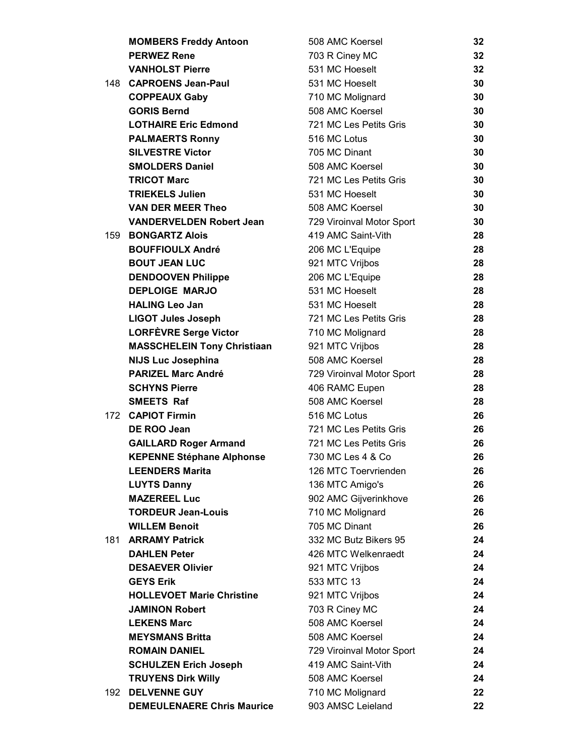|     | <b>MOMBERS Freddy Antoon</b>       | 508 AMC Koersel           | 32 |
|-----|------------------------------------|---------------------------|----|
|     | <b>PERWEZ Rene</b>                 | 703 R Ciney MC            | 32 |
|     | <b>VANHOLST Pierre</b>             | 531 MC Hoeselt            | 32 |
|     | 148 CAPROENS Jean-Paul             | 531 MC Hoeselt            | 30 |
|     | <b>COPPEAUX Gaby</b>               | 710 MC Molignard          | 30 |
|     | <b>GORIS Bernd</b>                 | 508 AMC Koersel           | 30 |
|     | <b>LOTHAIRE Eric Edmond</b>        | 721 MC Les Petits Gris    | 30 |
|     | <b>PALMAERTS Ronny</b>             | 516 MC Lotus              | 30 |
|     | <b>SILVESTRE Victor</b>            | 705 MC Dinant             | 30 |
|     | <b>SMOLDERS Daniel</b>             | 508 AMC Koersel           | 30 |
|     | <b>TRICOT Marc</b>                 | 721 MC Les Petits Gris    | 30 |
|     | <b>TRIEKELS Julien</b>             | 531 MC Hoeselt            | 30 |
|     | <b>VAN DER MEER Theo</b>           | 508 AMC Koersel           | 30 |
|     | <b>VANDERVELDEN Robert Jean</b>    | 729 Viroinval Motor Sport | 30 |
| 159 | <b>BONGARTZ Alois</b>              | 419 AMC Saint-Vith        | 28 |
|     | <b>BOUFFIOULX André</b>            | 206 MC L'Equipe           | 28 |
|     | <b>BOUT JEAN LUC</b>               | 921 MTC Vrijbos           | 28 |
|     | <b>DENDOOVEN Philippe</b>          | 206 MC L'Equipe           | 28 |
|     | <b>DEPLOIGE MARJO</b>              | 531 MC Hoeselt            | 28 |
|     | <b>HALING Leo Jan</b>              | 531 MC Hoeselt            | 28 |
|     | <b>LIGOT Jules Joseph</b>          | 721 MC Les Petits Gris    | 28 |
|     | <b>LORFÈVRE Serge Victor</b>       | 710 MC Molignard          | 28 |
|     | <b>MASSCHELEIN Tony Christiaan</b> | 921 MTC Vrijbos           | 28 |
|     | <b>NIJS Luc Josephina</b>          | 508 AMC Koersel           | 28 |
|     | <b>PARIZEL Marc André</b>          | 729 Viroinval Motor Sport | 28 |
|     | <b>SCHYNS Pierre</b>               | 406 RAMC Eupen            | 28 |
|     | <b>SMEETS Raf</b>                  | 508 AMC Koersel           | 28 |
|     | 172 CAPIOT Firmin                  | 516 MC Lotus              | 26 |
|     | DE ROO Jean                        | 721 MC Les Petits Gris    | 26 |
|     | <b>GAILLARD Roger Armand</b>       | 721 MC Les Petits Gris    | 26 |
|     | <b>KEPENNE Stéphane Alphonse</b>   | 730 MC Les 4 & Co         | 26 |
|     | <b>LEENDERS Marita</b>             | 126 MTC Toervrienden      | 26 |
|     | <b>LUYTS Danny</b>                 | 136 MTC Amigo's           | 26 |
|     | <b>MAZEREEL Luc</b>                | 902 AMC Gijverinkhove     | 26 |
|     | <b>TORDEUR Jean-Louis</b>          | 710 MC Molignard          | 26 |
|     | <b>WILLEM Benoit</b>               | 705 MC Dinant             | 26 |
| 181 | <b>ARRAMY Patrick</b>              | 332 MC Butz Bikers 95     | 24 |
|     | <b>DAHLEN Peter</b>                | 426 MTC Welkenraedt       | 24 |
|     | <b>DESAEVER Olivier</b>            | 921 MTC Vrijbos           | 24 |
|     | <b>GEYS Erik</b>                   | 533 MTC 13                | 24 |
|     | <b>HOLLEVOET Marie Christine</b>   | 921 MTC Vrijbos           | 24 |
|     | <b>JAMINON Robert</b>              | 703 R Ciney MC            | 24 |
|     | <b>LEKENS Marc</b>                 | 508 AMC Koersel           | 24 |
|     | <b>MEYSMANS Britta</b>             | 508 AMC Koersel           | 24 |
|     | <b>ROMAIN DANIEL</b>               | 729 Viroinval Motor Sport | 24 |
|     | <b>SCHULZEN Erich Joseph</b>       | 419 AMC Saint-Vith        | 24 |
|     | <b>TRUYENS Dirk Willy</b>          | 508 AMC Koersel           | 24 |
| 192 | <b>DELVENNE GUY</b>                | 710 MC Molignard          | 22 |
|     | <b>DEMEULENAERE Chris Maurice</b>  | 903 AMSC Leieland         | 22 |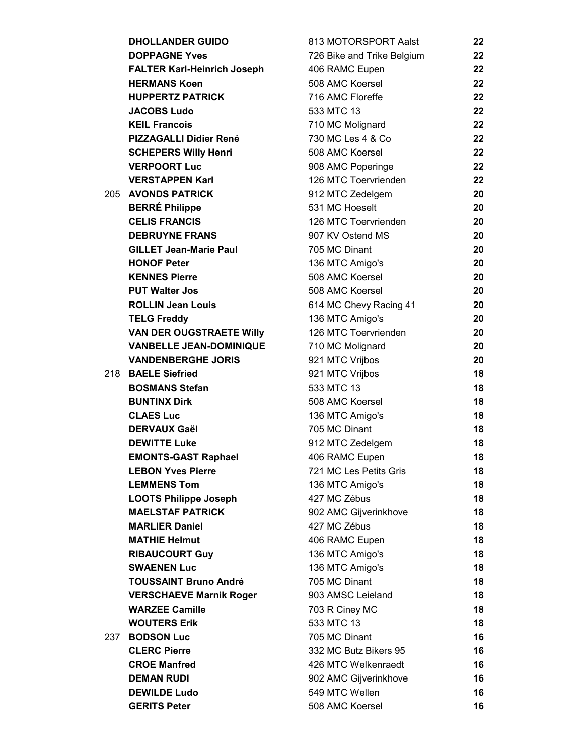|     | <b>DHOLLANDER GUIDO</b>            | 813 MOTORSPORT Aalst       | 22 |
|-----|------------------------------------|----------------------------|----|
|     | <b>DOPPAGNE Yves</b>               | 726 Bike and Trike Belgium | 22 |
|     | <b>FALTER Karl-Heinrich Joseph</b> | 406 RAMC Eupen             | 22 |
|     | <b>HERMANS Koen</b>                | 508 AMC Koersel            | 22 |
|     | <b>HUPPERTZ PATRICK</b>            | 716 AMC Floreffe           | 22 |
|     | <b>JACOBS Ludo</b>                 | 533 MTC 13                 | 22 |
|     | <b>KEIL Francois</b>               | 710 MC Molignard           | 22 |
|     | <b>PIZZAGALLI Didier René</b>      | 730 MC Les 4 & Co          | 22 |
|     | <b>SCHEPERS Willy Henri</b>        | 508 AMC Koersel            | 22 |
|     | <b>VERPOORT Luc</b>                | 908 AMC Poperinge          | 22 |
|     | <b>VERSTAPPEN Karl</b>             | 126 MTC Toervrienden       | 22 |
|     | 205 AVONDS PATRICK                 | 912 MTC Zedelgem           | 20 |
|     | <b>BERRÉ Philippe</b>              | 531 MC Hoeselt             | 20 |
|     | <b>CELIS FRANCIS</b>               | 126 MTC Toervrienden       | 20 |
|     | <b>DEBRUYNE FRANS</b>              | 907 KV Ostend MS           | 20 |
|     | <b>GILLET Jean-Marie Paul</b>      | 705 MC Dinant              | 20 |
|     | <b>HONOF Peter</b>                 | 136 MTC Amigo's            | 20 |
|     | <b>KENNES Pierre</b>               | 508 AMC Koersel            | 20 |
|     | <b>PUT Walter Jos</b>              | 508 AMC Koersel            | 20 |
|     | <b>ROLLIN Jean Louis</b>           | 614 MC Chevy Racing 41     | 20 |
|     | <b>TELG Freddy</b>                 | 136 MTC Amigo's            | 20 |
|     | <b>VAN DER OUGSTRAETE Willy</b>    | 126 MTC Toervrienden       | 20 |
|     | <b>VANBELLE JEAN-DOMINIQUE</b>     | 710 MC Molignard           | 20 |
|     | <b>VANDENBERGHE JORIS</b>          | 921 MTC Vrijbos            | 20 |
| 218 | <b>BAELE Siefried</b>              | 921 MTC Vrijbos            | 18 |
|     | <b>BOSMANS Stefan</b>              | 533 MTC 13                 | 18 |
|     | <b>BUNTINX Dirk</b>                | 508 AMC Koersel            | 18 |
|     | <b>CLAES Luc</b>                   | 136 MTC Amigo's            | 18 |
|     | <b>DERVAUX Gaël</b>                | 705 MC Dinant              | 18 |
|     | <b>DEWITTE Luke</b>                | 912 MTC Zedelgem           | 18 |
|     | <b>EMONTS-GAST Raphael</b>         | 406 RAMC Eupen             | 18 |
|     | <b>LEBON Yves Pierre</b>           | 721 MC Les Petits Gris     | 18 |
|     | <b>LEMMENS Tom</b>                 | 136 MTC Amigo's            | 18 |
|     | <b>LOOTS Philippe Joseph</b>       | 427 MC Zébus               | 18 |
|     | <b>MAELSTAF PATRICK</b>            | 902 AMC Gijverinkhove      | 18 |
|     | <b>MARLIER Daniel</b>              | 427 MC Zébus               | 18 |
|     | <b>MATHIE Helmut</b>               | 406 RAMC Eupen             | 18 |
|     | <b>RIBAUCOURT Guy</b>              | 136 MTC Amigo's            | 18 |
|     | <b>SWAENEN Luc</b>                 | 136 MTC Amigo's            | 18 |
|     | <b>TOUSSAINT Bruno André</b>       | 705 MC Dinant              | 18 |
|     | <b>VERSCHAEVE Marnik Roger</b>     | 903 AMSC Leieland          | 18 |
|     | <b>WARZEE Camille</b>              | 703 R Ciney MC             | 18 |
|     | <b>WOUTERS Erik</b>                | 533 MTC 13                 | 18 |
| 237 | <b>BODSON Luc</b>                  | 705 MC Dinant              | 16 |
|     | <b>CLERC Pierre</b>                | 332 MC Butz Bikers 95      | 16 |
|     | <b>CROE Manfred</b>                | 426 MTC Welkenraedt        | 16 |
|     | <b>DEMAN RUDI</b>                  | 902 AMC Gijverinkhove      | 16 |
|     | <b>DEWILDE Ludo</b>                | 549 MTC Wellen             | 16 |
|     | <b>GERITS Peter</b>                | 508 AMC Koersel            | 16 |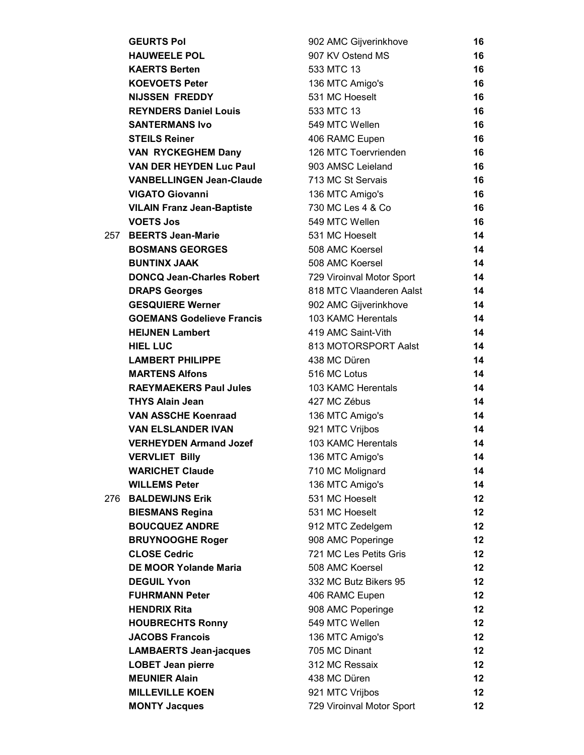|      | <b>GEURTS Pol</b>                 | 902 AMC Gijverinkhove     | 16      |
|------|-----------------------------------|---------------------------|---------|
|      | <b>HAUWEELE POL</b>               | 907 KV Ostend MS          | 16      |
|      | <b>KAERTS Berten</b>              | 533 MTC 13                | 16      |
|      | <b>KOEVOETS Peter</b>             | 136 MTC Amigo's           | 16      |
|      | <b>NIJSSEN FREDDY</b>             | 531 MC Hoeselt            | 16      |
|      | <b>REYNDERS Daniel Louis</b>      | 533 MTC 13                | 16      |
|      | <b>SANTERMANS Ivo</b>             | 549 MTC Wellen            | 16      |
|      | <b>STEILS Reiner</b>              | 406 RAMC Eupen            | 16      |
|      | <b>VAN RYCKEGHEM Dany</b>         | 126 MTC Toervrienden      | 16      |
|      | <b>VAN DER HEYDEN Luc Paul</b>    | 903 AMSC Leieland         | 16      |
|      | <b>VANBELLINGEN Jean-Claude</b>   | 713 MC St Servais         | 16      |
|      | <b>VIGATO Giovanni</b>            | 136 MTC Amigo's           | 16      |
|      | <b>VILAIN Franz Jean-Baptiste</b> | 730 MC Les 4 & Co         | 16      |
|      | <b>VOETS Jos</b>                  | 549 MTC Wellen            | 16      |
|      | 257 BEERTS Jean-Marie             | 531 MC Hoeselt            | 14      |
|      | <b>BOSMANS GEORGES</b>            | 508 AMC Koersel           | 14      |
|      | <b>BUNTINX JAAK</b>               | 508 AMC Koersel           | 14      |
|      | <b>DONCQ Jean-Charles Robert</b>  | 729 Viroinval Motor Sport | 14      |
|      | <b>DRAPS Georges</b>              | 818 MTC Vlaanderen Aalst  | 14      |
|      | <b>GESQUIERE Werner</b>           | 902 AMC Gijverinkhove     | 14      |
|      | <b>GOEMANS Godelieve Francis</b>  | 103 KAMC Herentals        | 14      |
|      | <b>HEIJNEN Lambert</b>            | 419 AMC Saint-Vith        | 14      |
|      | <b>HIEL LUC</b>                   | 813 MOTORSPORT Aalst      | 14      |
|      | <b>LAMBERT PHILIPPE</b>           | 438 MC Düren              | 14      |
|      | <b>MARTENS Alfons</b>             | 516 MC Lotus              | 14      |
|      | <b>RAEYMAEKERS Paul Jules</b>     | 103 KAMC Herentals        | 14      |
|      | <b>THYS Alain Jean</b>            | 427 MC Zébus              | 14      |
|      | <b>VAN ASSCHE Koenraad</b>        | 136 MTC Amigo's           | 14      |
|      | <b>VAN ELSLANDER IVAN</b>         | 921 MTC Vrijbos           | 14      |
|      | <b>VERHEYDEN Armand Jozef</b>     | 103 KAMC Herentals        | 14      |
|      | <b>VERVLIET Billy</b>             | 136 MTC Amigo's           | 14      |
|      | <b>WARICHET Claude</b>            | 710 MC Molignard          | 14      |
|      | <b>WILLEMS Peter</b>              | 136 MTC Amigo's           | 14      |
| 276. | <b>BALDEWIJNS Erik</b>            | 531 MC Hoeselt            | $12 \,$ |
|      | <b>BIESMANS Regina</b>            | 531 MC Hoeselt            | $12 \,$ |
|      | <b>BOUCQUEZ ANDRE</b>             | 912 MTC Zedelgem          | $12 \,$ |
|      | <b>BRUYNOOGHE Roger</b>           | 908 AMC Poperinge         | $12 \,$ |
|      | <b>CLOSE Cedric</b>               | 721 MC Les Petits Gris    | $12 \,$ |
|      | <b>DE MOOR Yolande Maria</b>      | 508 AMC Koersel           | 12      |
|      | <b>DEGUIL Yvon</b>                | 332 MC Butz Bikers 95     | 12      |
|      | <b>FUHRMANN Peter</b>             | 406 RAMC Eupen            | $12 \,$ |
|      | <b>HENDRIX Rita</b>               | 908 AMC Poperinge         | $12 \,$ |
|      | <b>HOUBRECHTS Ronny</b>           | 549 MTC Wellen            | $12 \,$ |
|      | <b>JACOBS Francois</b>            | 136 MTC Amigo's           | 12      |
|      | <b>LAMBAERTS Jean-jacques</b>     | 705 MC Dinant             | $12 \,$ |
|      | <b>LOBET Jean pierre</b>          | 312 MC Ressaix            | 12      |
|      | <b>MEUNIER Alain</b>              | 438 MC Düren              | 12      |
|      | <b>MILLEVILLE KOEN</b>            | 921 MTC Vrijbos           | $12 \,$ |
|      | <b>MONTY Jacques</b>              | 729 Viroinval Motor Sport | $12 \,$ |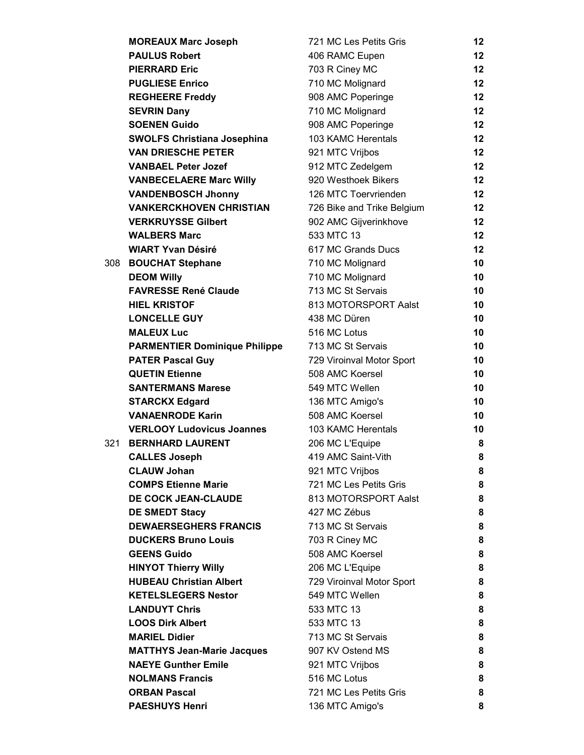|     | <b>MOREAUX Marc Joseph</b>           | 721 MC Les Petits Gris     | 12              |
|-----|--------------------------------------|----------------------------|-----------------|
|     | <b>PAULUS Robert</b>                 | 406 RAMC Eupen             | 12 <sup>°</sup> |
|     | <b>PIERRARD Eric</b>                 | 703 R Ciney MC             | $12 \,$         |
|     | <b>PUGLIESE Enrico</b>               | 710 MC Molignard           | $12 \,$         |
|     | <b>REGHEERE Freddy</b>               | 908 AMC Poperinge          | $12 \,$         |
|     | <b>SEVRIN Dany</b>                   | 710 MC Molignard           | $12 \,$         |
|     | <b>SOENEN Guido</b>                  | 908 AMC Poperinge          | $12 \,$         |
|     | <b>SWOLFS Christiana Josephina</b>   | 103 KAMC Herentals         | $12 \,$         |
|     | <b>VAN DRIESCHE PETER</b>            | 921 MTC Vrijbos            | $12 \,$         |
|     | <b>VANBAEL Peter Jozef</b>           | 912 MTC Zedelgem           | $12 \,$         |
|     | <b>VANBECELAERE Marc Willy</b>       | 920 Westhoek Bikers        | $12 \,$         |
|     | <b>VANDENBOSCH Jhonny</b>            | 126 MTC Toervrienden       | $12 \,$         |
|     | <b>VANKERCKHOVEN CHRISTIAN</b>       | 726 Bike and Trike Belgium | $12 \,$         |
|     | <b>VERKRUYSSE Gilbert</b>            | 902 AMC Gijverinkhove      | $12 \,$         |
|     | <b>WALBERS Marc</b>                  | 533 MTC 13                 | $12 \,$         |
|     | <b>WIART Yvan Désiré</b>             | 617 MC Grands Ducs         | 12              |
| 308 | <b>BOUCHAT Stephane</b>              | 710 MC Molignard           | 10              |
|     | <b>DEOM Willy</b>                    | 710 MC Molignard           | 10              |
|     | <b>FAVRESSE René Claude</b>          | 713 MC St Servais          | 10              |
|     | <b>HIEL KRISTOF</b>                  | 813 MOTORSPORT Aalst       | 10              |
|     | <b>LONCELLE GUY</b>                  | 438 MC Düren               | 10              |
|     | <b>MALEUX Luc</b>                    | 516 MC Lotus               | 10              |
|     | <b>PARMENTIER Dominique Philippe</b> | 713 MC St Servais          | 10              |
|     | <b>PATER Pascal Guy</b>              | 729 Viroinval Motor Sport  | 10              |
|     | <b>QUETIN Etienne</b>                | 508 AMC Koersel            | 10              |
|     | <b>SANTERMANS Marese</b>             | 549 MTC Wellen             | 10              |
|     | <b>STARCKX Edgard</b>                | 136 MTC Amigo's            | 10              |
|     | <b>VANAENRODE Karin</b>              | 508 AMC Koersel            | 10              |
|     | <b>VERLOOY Ludovicus Joannes</b>     | 103 KAMC Herentals         | 10              |
| 321 | <b>BERNHARD LAURENT</b>              | 206 MC L'Equipe            | 8               |
|     | <b>CALLES Joseph</b>                 | 419 AMC Saint-Vith         | 8               |
|     | <b>CLAUW Johan</b>                   | 921 MTC Vrijbos            | 8               |
|     | <b>COMPS Etienne Marie</b>           | 721 MC Les Petits Gris     | 8               |
|     | <b>DE COCK JEAN-CLAUDE</b>           | 813 MOTORSPORT Aalst       | 8               |
|     | <b>DE SMEDT Stacy</b>                | 427 MC Zébus               | 8               |
|     | <b>DEWAERSEGHERS FRANCIS</b>         | 713 MC St Servais          | 8               |
|     | <b>DUCKERS Bruno Louis</b>           | 703 R Ciney MC             | 8               |
|     | <b>GEENS Guido</b>                   | 508 AMC Koersel            | 8               |
|     | <b>HINYOT Thierry Willy</b>          | 206 MC L'Equipe            | 8               |
|     | <b>HUBEAU Christian Albert</b>       | 729 Viroinval Motor Sport  | 8               |
|     | <b>KETELSLEGERS Nestor</b>           | 549 MTC Wellen             | 8               |
|     | <b>LANDUYT Chris</b>                 | 533 MTC 13                 | 8               |
|     | <b>LOOS Dirk Albert</b>              | 533 MTC 13                 | 8               |
|     | <b>MARIEL Didier</b>                 | 713 MC St Servais          | 8               |
|     | <b>MATTHYS Jean-Marie Jacques</b>    | 907 KV Ostend MS           | 8               |
|     | <b>NAEYE Gunther Emile</b>           | 921 MTC Vrijbos            | 8               |
|     | <b>NOLMANS Francis</b>               | 516 MC Lotus               | 8               |
|     | <b>ORBAN Pascal</b>                  | 721 MC Les Petits Gris     | 8               |
|     | <b>PAESHUYS Henri</b>                | 136 MTC Amigo's            | 8               |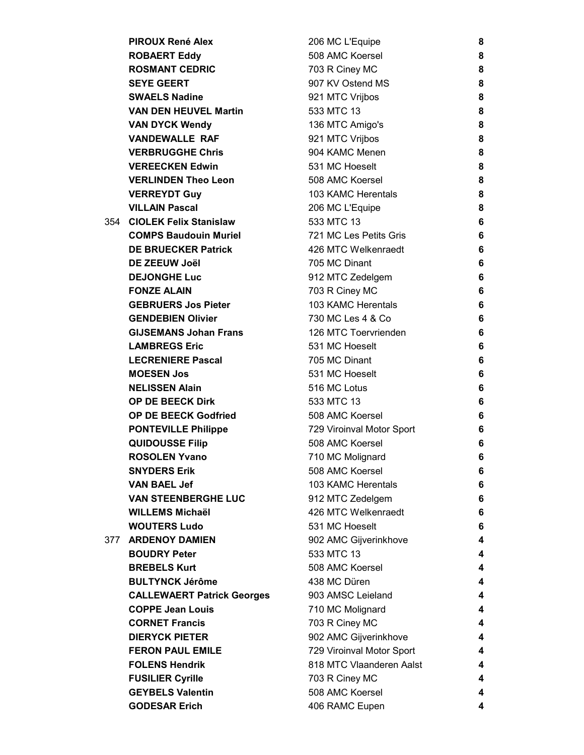|     | <b>PIROUX René Alex</b>           | 206 MC L'Equipe           | 8 |
|-----|-----------------------------------|---------------------------|---|
|     | <b>ROBAERT Eddy</b>               | 508 AMC Koersel           | 8 |
|     | <b>ROSMANT CEDRIC</b>             | 703 R Ciney MC            | 8 |
|     | <b>SEYE GEERT</b>                 | 907 KV Ostend MS          | 8 |
|     | <b>SWAELS Nadine</b>              | 921 MTC Vrijbos           | 8 |
|     | <b>VAN DEN HEUVEL Martin</b>      | 533 MTC 13                | 8 |
|     | <b>VAN DYCK Wendy</b>             | 136 MTC Amigo's           | 8 |
|     | <b>VANDEWALLE RAF</b>             | 921 MTC Vrijbos           | 8 |
|     | <b>VERBRUGGHE Chris</b>           | 904 KAMC Menen            | 8 |
|     | <b>VEREECKEN Edwin</b>            | 531 MC Hoeselt            | 8 |
|     | <b>VERLINDEN Theo Leon</b>        | 508 AMC Koersel           | 8 |
|     | <b>VERREYDT Guy</b>               | 103 KAMC Herentals        | 8 |
|     | <b>VILLAIN Pascal</b>             | 206 MC L'Equipe           | 8 |
| 354 | <b>CIOLEK Felix Stanislaw</b>     | 533 MTC 13                | 6 |
|     | <b>COMPS Baudouin Muriel</b>      | 721 MC Les Petits Gris    | 6 |
|     | <b>DE BRUECKER Patrick</b>        | 426 MTC Welkenraedt       | 6 |
|     | DE ZEEUW Joël                     | 705 MC Dinant             | 6 |
|     | <b>DEJONGHE Luc</b>               | 912 MTC Zedelgem          | 6 |
|     | <b>FONZE ALAIN</b>                | 703 R Ciney MC            | 6 |
|     | <b>GEBRUERS Jos Pieter</b>        | 103 KAMC Herentals        | 6 |
|     | <b>GENDEBIEN Olivier</b>          | 730 MC Les 4 & Co         | 6 |
|     | <b>GIJSEMANS Johan Frans</b>      | 126 MTC Toervrienden      | 6 |
|     | <b>LAMBREGS Eric</b>              | 531 MC Hoeselt            | 6 |
|     | <b>LECRENIERE Pascal</b>          | 705 MC Dinant             | 6 |
|     | <b>MOESEN Jos</b>                 | 531 MC Hoeselt            | 6 |
|     | <b>NELISSEN Alain</b>             | 516 MC Lotus              | 6 |
|     | OP DE BEECK Dirk                  | 533 MTC 13                | 6 |
|     | <b>OP DE BEECK Godfried</b>       | 508 AMC Koersel           | 6 |
|     | <b>PONTEVILLE Philippe</b>        | 729 Viroinval Motor Sport | 6 |
|     | <b>QUIDOUSSE Filip</b>            | 508 AMC Koersel           | 6 |
|     | <b>ROSOLEN Yvano</b>              | 710 MC Molignard          | 6 |
|     | <b>SNYDERS Erik</b>               | 508 AMC Koersel           | 6 |
|     | <b>VAN BAEL Jef</b>               | 103 KAMC Herentals        | 6 |
|     | <b>VAN STEENBERGHE LUC</b>        | 912 MTC Zedelgem          | 6 |
|     | <b>WILLEMS Michaël</b>            | 426 MTC Welkenraedt       | 6 |
|     | <b>WOUTERS Ludo</b>               | 531 MC Hoeselt            | 6 |
| 377 | <b>ARDENOY DAMIEN</b>             | 902 AMC Gijverinkhove     | 4 |
|     | <b>BOUDRY Peter</b>               | 533 MTC 13                | 4 |
|     | <b>BREBELS Kurt</b>               | 508 AMC Koersel           | 4 |
|     | <b>BULTYNCK Jérôme</b>            | 438 MC Düren              | 4 |
|     | <b>CALLEWAERT Patrick Georges</b> | 903 AMSC Leieland         | 4 |
|     | <b>COPPE Jean Louis</b>           | 710 MC Molignard          | 4 |
|     | <b>CORNET Francis</b>             | 703 R Ciney MC            | 4 |
|     | <b>DIERYCK PIETER</b>             | 902 AMC Gijverinkhove     | 4 |
|     | <b>FERON PAUL EMILE</b>           | 729 Viroinval Motor Sport | 4 |
|     | <b>FOLENS Hendrik</b>             | 818 MTC Vlaanderen Aalst  | 4 |
|     | <b>FUSILIER Cyrille</b>           | 703 R Ciney MC            | 4 |
|     | <b>GEYBELS Valentin</b>           | 508 AMC Koersel           | 4 |
|     | <b>GODESAR Erich</b>              | 406 RAMC Eupen            | 4 |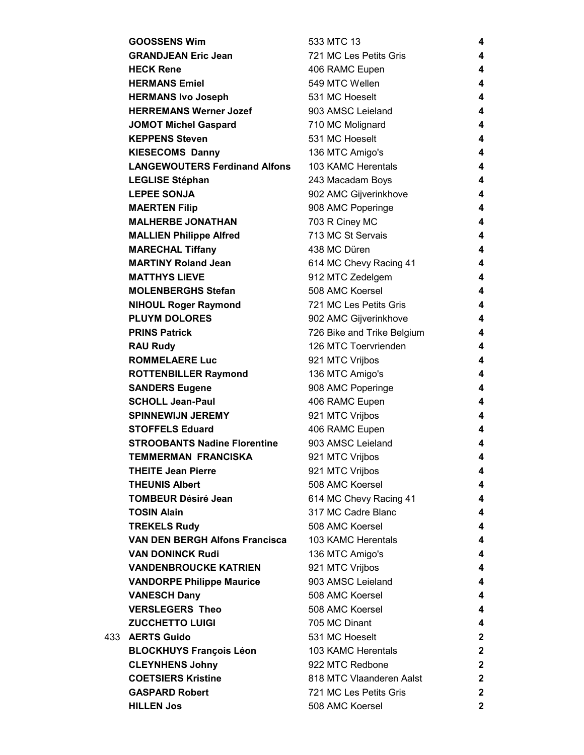|       | <b>GOOSSENS Wim</b>                   | 533 MTC 13                 | 4            |
|-------|---------------------------------------|----------------------------|--------------|
|       | <b>GRANDJEAN Eric Jean</b>            | 721 MC Les Petits Gris     | 4            |
|       | <b>HECK Rene</b>                      | 406 RAMC Eupen             | 4            |
|       | <b>HERMANS Emiel</b>                  | 549 MTC Wellen             | 4            |
|       | <b>HERMANS Ivo Joseph</b>             | 531 MC Hoeselt             | 4            |
|       | <b>HERREMANS Werner Jozef</b>         | 903 AMSC Leieland          | 4            |
|       | <b>JOMOT Michel Gaspard</b>           | 710 MC Molignard           | 4            |
|       | <b>KEPPENS Steven</b>                 | 531 MC Hoeselt             | 4            |
|       | <b>KIESECOMS Danny</b>                | 136 MTC Amigo's            | 4            |
|       | <b>LANGEWOUTERS Ferdinand Alfons</b>  | 103 KAMC Herentals         | 4            |
|       | <b>LEGLISE Stéphan</b>                | 243 Macadam Boys           | 4            |
|       | <b>LEPEE SONJA</b>                    | 902 AMC Gijverinkhove      | 4            |
|       | <b>MAERTEN Filip</b>                  | 908 AMC Poperinge          | 4            |
|       | <b>MALHERBE JONATHAN</b>              | 703 R Ciney MC             | 4            |
|       | <b>MALLIEN Philippe Alfred</b>        | 713 MC St Servais          | 4            |
|       | <b>MARECHAL Tiffany</b>               | 438 MC Düren               | 4            |
|       | <b>MARTINY Roland Jean</b>            | 614 MC Chevy Racing 41     | 4            |
|       | <b>MATTHYS LIEVE</b>                  | 912 MTC Zedelgem           | 4            |
|       | <b>MOLENBERGHS Stefan</b>             | 508 AMC Koersel            | 4            |
|       | <b>NIHOUL Roger Raymond</b>           | 721 MC Les Petits Gris     | 4            |
|       | <b>PLUYM DOLORES</b>                  | 902 AMC Gijverinkhove      | 4            |
|       | <b>PRINS Patrick</b>                  | 726 Bike and Trike Belgium | 4            |
|       | <b>RAU Rudy</b>                       | 126 MTC Toervrienden       | 4            |
|       | <b>ROMMELAERE Luc</b>                 | 921 MTC Vrijbos            | 4            |
|       | <b>ROTTENBILLER Raymond</b>           | 136 MTC Amigo's            | 4            |
|       | <b>SANDERS Eugene</b>                 | 908 AMC Poperinge          | 4            |
|       | <b>SCHOLL Jean-Paul</b>               | 406 RAMC Eupen             | 4            |
|       | <b>SPINNEWIJN JEREMY</b>              | 921 MTC Vrijbos            | 4            |
|       | <b>STOFFELS Eduard</b>                | 406 RAMC Eupen             | 4            |
|       | <b>STROOBANTS Nadine Florentine</b>   | 903 AMSC Leieland          | 4            |
|       | <b>TEMMERMAN FRANCISKA</b>            | 921 MTC Vrijbos            | 4            |
|       | <b>THEITE Jean Pierre</b>             | 921 MTC Vrijbos            | 4            |
|       | <b>THEUNIS Albert</b>                 | 508 AMC Koersel            | 4            |
|       | <b>TOMBEUR Désiré Jean</b>            | 614 MC Chevy Racing 41     | 4            |
|       | <b>TOSIN Alain</b>                    | 317 MC Cadre Blanc         | 4            |
|       | <b>TREKELS Rudy</b>                   | 508 AMC Koersel            | 4            |
|       | <b>VAN DEN BERGH Alfons Francisca</b> | 103 KAMC Herentals         | 4            |
|       | <b>VAN DONINCK Rudi</b>               | 136 MTC Amigo's            | 4            |
|       | <b>VANDENBROUCKE KATRIEN</b>          | 921 MTC Vrijbos            | 4            |
|       | <b>VANDORPE Philippe Maurice</b>      | 903 AMSC Leieland          | 4            |
|       | <b>VANESCH Dany</b>                   | 508 AMC Koersel            | 4            |
|       | <b>VERSLEGERS Theo</b>                | 508 AMC Koersel            | 4            |
|       | <b>ZUCCHETTO LUIGI</b>                | 705 MC Dinant              | 4            |
| 433 - | <b>AERTS Guido</b>                    | 531 MC Hoeselt             | $\mathbf 2$  |
|       | <b>BLOCKHUYS François Léon</b>        | 103 KAMC Herentals         | $\mathbf{2}$ |
|       | <b>CLEYNHENS Johny</b>                | 922 MTC Redbone            | $\mathbf 2$  |
|       | <b>COETSIERS Kristine</b>             | 818 MTC Vlaanderen Aalst   | $\mathbf{2}$ |
|       | <b>GASPARD Robert</b>                 | 721 MC Les Petits Gris     | $\mathbf{2}$ |
|       | <b>HILLEN Jos</b>                     | 508 AMC Koersel            | $\mathbf{2}$ |